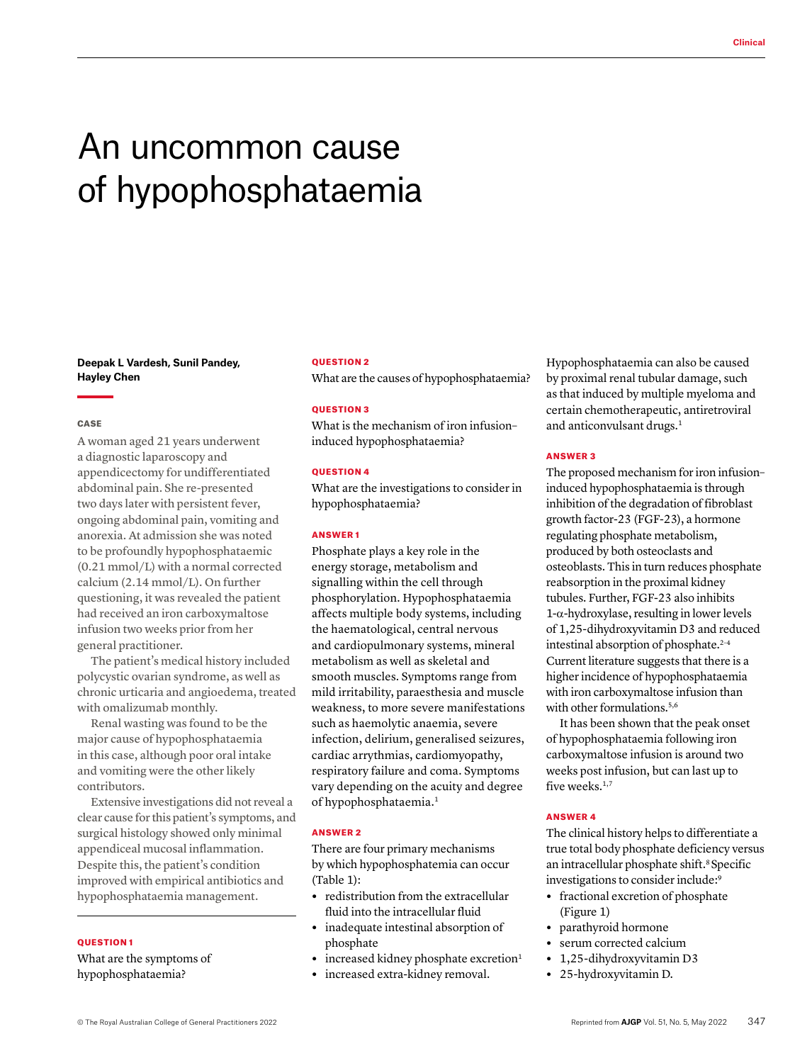# An uncommon cause of hypophosphataemia

## **Deepak L Vardesh, Sunil Pandey, Hayley Chen**

## **CASE**

A woman aged 21 years underwent a diagnostic laparoscopy and appendicectomy for undifferentiated abdominal pain. She re-presented two days later with persistent fever, ongoing abdominal pain, vomiting and anorexia. At admission she was noted to be profoundly hypophosphataemic (0.21 mmol/L) with a normal corrected calcium (2.14 mmol/L). On further questioning, it was revealed the patient had received an iron carboxymaltose infusion two weeks prior from her general practitioner.

The patient's medical history included polycystic ovarian syndrome, as well as chronic urticaria and angioedema, treated with omalizumab monthly.

Renal wasting was found to be the major cause of hypophosphataemia in this case, although poor oral intake and vomiting were the other likely contributors.

Extensive investigations did not reveal a clear cause for this patient's symptoms, and surgical histology showed only minimal appendiceal mucosal inflammation. Despite this, the patient's condition improved with empirical antibiotics and hypophosphataemia management.

## QUESTION 1

What are the symptoms of hypophosphataemia?

## QUESTION 2

What are the causes of hypophosphataemia?

## QUESTION 3

What is the mechanism of iron infusion– induced hypophosphataemia?

## QUESTION 4

What are the investigations to consider in hypophosphataemia?

#### ANSWER 1

Phosphate plays a key role in the energy storage, metabolism and signalling within the cell through phosphorylation. Hypophosphataemia affects multiple body systems, including the haematological, central nervous and cardiopulmonary systems, mineral metabolism as well as skeletal and smooth muscles. Symptoms range from mild irritability, paraesthesia and muscle weakness, to more severe manifestations such as haemolytic anaemia, severe infection, delirium, generalised seizures, cardiac arrythmias, cardiomyopathy, respiratory failure and coma. Symptoms vary depending on the acuity and degree of hypophosphataemia.<sup>1</sup>

#### ANSWER 2

There are four primary mechanisms by which hypophosphatemia can occur (Table 1):

- **•** redistribution from the extracellular fluid into the intracellular fluid
- **•** inadequate intestinal absorption of phosphate
- increased kidney phosphate excretion<sup>1</sup>
- **•** increased extra-kidney removal.

Hypophosphataemia can also be caused by proximal renal tubular damage, such as that induced by multiple myeloma and certain chemotherapeutic, antiretroviral and anticonvulsant drugs.<sup>1</sup>

# ANSWER 3

The proposed mechanism for iron infusion– induced hypophosphataemia is through inhibition of the degradation of fibroblast growth factor-23 (FGF-23), a hormone regulating phosphate metabolism, produced by both osteoclasts and osteoblasts. This in turn reduces phosphate reabsorption in the proximal kidney tubules. Further, FGF-23 also inhibits 1-α-hydroxylase, resulting in lower levels of 1,25-dihydroxyvitamin D3 and reduced intestinal absorption of phosphate.<sup>2-4</sup> Current literature suggests that there is a higher incidence of hypophosphataemia with iron carboxymaltose infusion than with other formulations.<sup>5,6</sup>

It has been shown that the peak onset of hypophosphataemia following iron carboxymaltose infusion is around two weeks post infusion, but can last up to five weeks.<sup>1,7</sup>

## ANSWER 4

The clinical history helps to differentiate a true total body phosphate deficiency versus an intracellular phosphate shift.<sup>8</sup> Specific investigations to consider include:<sup>9</sup>

- **•** fractional excretion of phosphate (Figure 1)
- **•** parathyroid hormone
- **•** serum corrected calcium
- **•** 1,25-dihydroxyvitamin D3
- **•** 25-hydroxyvitamin D.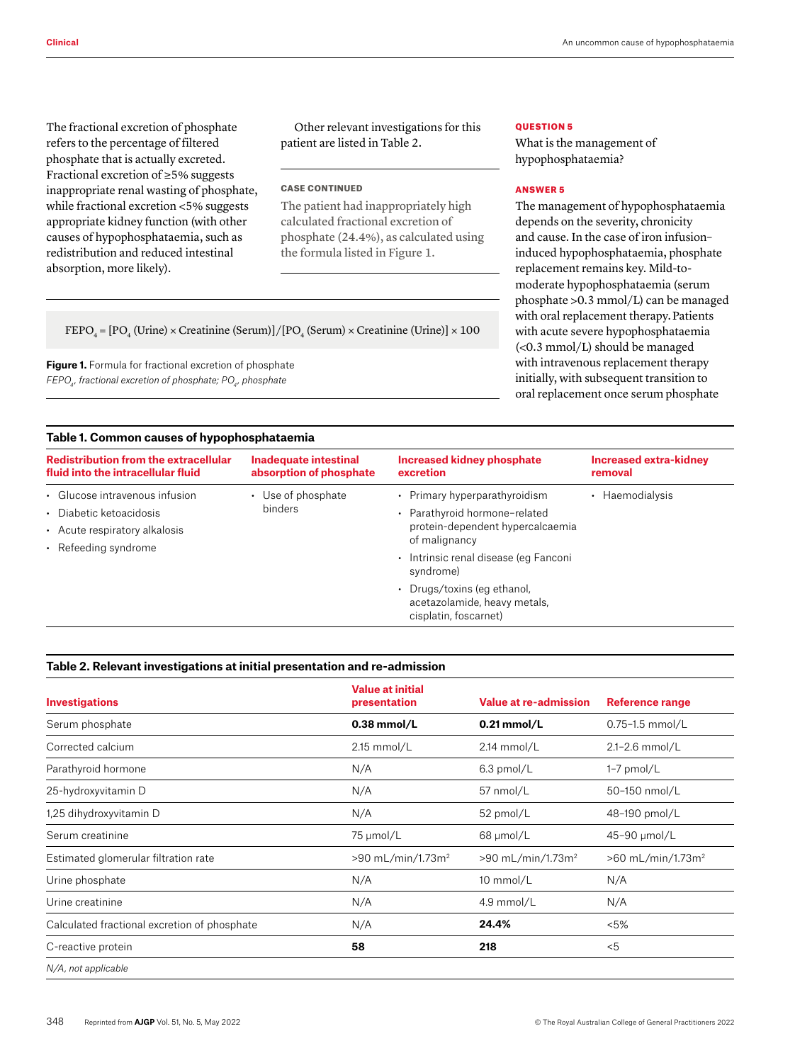The fractional excretion of phosphate refers to the percentage of filtered phosphate that is actually excreted. Fractional excretion of ≥5% suggests inappropriate renal wasting of phosphate, while fractional excretion <5% suggests appropriate kidney function (with other causes of hypophosphataemia, such as redistribution and reduced intestinal absorption, more likely).

Other relevant investigations for this patient are listed in Table 2.

## CASE CONTINUED

The patient had inappropriately high calculated fractional excretion of phosphate (24.4%), as calculated using the formula listed in Figure 1.

# QUESTION 5

What is the management of hypophosphataemia?

# ANSWER 5

The management of hypophosphataemia depends on the severity, chronicity and cause. In the case of iron infusion– induced hypophosphataemia, phosphate replacement remains key. Mild-tomoderate hypophosphataemia (serum phosphate >0.3 mmol/L) can be managed with oral replacement therapy.Patients with acute severe hypophosphataemia (<0.3 mmol/L) should be managed with intravenous replacement therapy initially, with subsequent transition to oral replacement once serum phosphate

 $\text{FEPO}_4 = [\text{PO}_4 \text{ (Urine)} \times \text{Creating (Serum)}]/[\text{PO}_4 \text{ (Serum)} \times \text{Creating (Urine)}] \times 100$ 

**Figure 1.** Formula for fractional excretion of phosphate *FEPO4 , fractional excretion of phosphate; PO4 , phosphate*

# **Table 1. Common causes of hypophosphataemia**

| <b>Redistribution from the extracellular</b><br>fluid into the intracellular fluid                                 | <b>Inadequate intestinal</b><br>absorption of phosphate | <b>Increased kidney phosphate</b><br>excretion                                                                                                                                                                                                                    | <b>Increased extra-kidney</b><br>removal |  |  |  |
|--------------------------------------------------------------------------------------------------------------------|---------------------------------------------------------|-------------------------------------------------------------------------------------------------------------------------------------------------------------------------------------------------------------------------------------------------------------------|------------------------------------------|--|--|--|
| • Glucose intravenous infusion<br>• Diabetic ketoacidosis<br>• Acute respiratory alkalosis<br>• Refeeding syndrome | • Use of phosphate<br>binders                           | • Primary hyperparathyroidism<br>• Parathyroid hormone-related<br>protein-dependent hypercalcaemia<br>of malignancy<br>· Intrinsic renal disease (eq Fanconi<br>syndrome)<br>• Drugs/toxins (eg ethanol,<br>acetazolamide, heavy metals,<br>cisplatin, foscarnet) | Haemodialysis                            |  |  |  |

## **Table 2. Relevant investigations at initial presentation and re-admission**

| <b>Investigations</b>                        | <b>Value at initial</b><br>presentation | Value at re-admission         | <b>Reference range</b>        |
|----------------------------------------------|-----------------------------------------|-------------------------------|-------------------------------|
| Serum phosphate                              | $0.38$ mmol/L                           | $0.21$ mmol/L                 | $0.75 - 1.5$ mmol/L           |
| Corrected calcium                            | $2.15$ mmol/L                           | 2.14 mmol/L                   | 2.1-2.6 mmol/L                |
| Parathyroid hormone                          | N/A                                     | $6.3$ pmol/L                  | $1-7$ pmol/L                  |
| 25-hydroxyvitamin D                          | N/A                                     | 57 nmol/L                     | 50-150 nmol/L                 |
| 1,25 dihydroxyvitamin D                      | N/A                                     | 52 pmol/L                     | 48-190 pmol/L                 |
| Serum creatinine                             | 75 µmol/L                               | 68 µmol/L                     | 45-90 µmol/L                  |
| Estimated glomerular filtration rate         | >90 mL/min/1.73m <sup>2</sup>           | >90 mL/min/1.73m <sup>2</sup> | >60 mL/min/1.73m <sup>2</sup> |
| Urine phosphate                              | N/A                                     | 10 mmol/L                     | N/A                           |
| Urine creatinine                             | N/A                                     | 4.9 mmol/L                    | N/A                           |
| Calculated fractional excretion of phosphate | N/A                                     | 24.4%                         | < 5%                          |
| C-reactive protein                           | 58                                      | 218                           | $5$                           |
| N/A, not applicable                          |                                         |                               |                               |